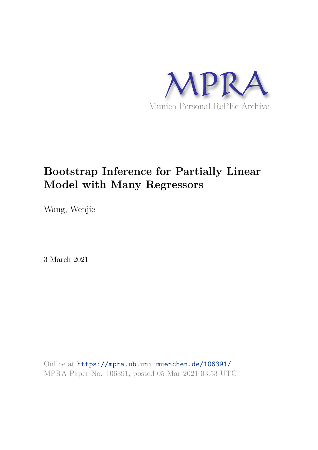

# **Bootstrap Inference for Partially Linear Model with Many Regressors**

Wang, Wenjie

3 March 2021

Online at https://mpra.ub.uni-muenchen.de/106391/ MPRA Paper No. 106391, posted 05 Mar 2021 03:53 UTC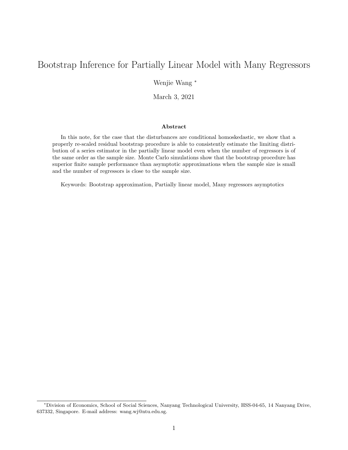# Bootstrap Inference for Partially Linear Model with Many Regressors

Wenjie Wang <sup>∗</sup>

March 3, 2021

#### Abstract

In this note, for the case that the disturbances are conditional homoskedastic, we show that a properly re-scaled residual bootstrap procedure is able to consistently estimate the limiting distribution of a series estimator in the partially linear model even when the number of regressors is of the same order as the sample size. Monte Carlo simulations show that the bootstrap procedure has superior finite sample performance than asymptotic approximations when the sample size is small and the number of regressors is close to the sample size.

Keywords: Bootstrap approximation, Partially linear model, Many regressors asymptotics

<sup>∗</sup>Division of Economics, School of Social Sciences, Nanyang Technological University, HSS-04-65, 14 Nanyang Drive, 637332, Singapore. E-mail address: wang.wj@ntu.edu.sg.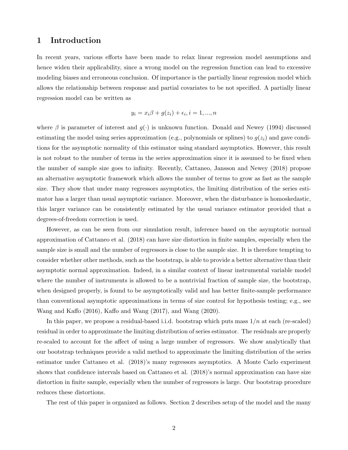## 1 Introduction

In recent years, various efforts have been made to relax linear regression model assumptions and hence widen their applicability, since a wrong model on the regression function can lead to excessive modeling biases and erroneous conclusion. Of importance is the partially linear regression model which allows the relationship between response and partial covariates to be not specified. A partially linear regression model can be written as

$$
y_i = x_i \beta + g(z_i) + \epsilon_i, i = 1, ..., n
$$

where  $\beta$  is parameter of interest and  $g(\cdot)$  is unknown function. Donald and Newey (1994) discussed estimating the model using series approximation (e.g., polynomials or splines) to  $g(z_i)$  and gave conditions for the asymptotic normality of this estimator using standard asymptotics. However, this result is not robust to the number of terms in the series approximation since it is assumed to be fixed when the number of sample size goes to infinity. Recently, Cattaneo, Jansson and Newey (2018) propose an alternative asymptotic framework which allows the number of terms to grow as fast as the sample size. They show that under many regressors asymptotics, the limiting distribution of the series estimator has a larger than usual asymptotic variance. Moreover, when the disturbance is homoskedastic, this larger variance can be consistently estimated by the usual variance estimator provided that a degrees-of-freedom correction is used.

However, as can be seen from our simulation result, inference based on the asymptotic normal approximation of Cattaneo et al. (2018) can have size distortion in finite samples, especially when the sample size is small and the number of regressors is close to the sample size. It is therefore tempting to consider whether other methods, such as the bootstrap, is able to provide a better alternative than their asymptotic normal approximation. Indeed, in a similar context of linear instrumental variable model where the number of instruments is allowed to be a nontrivial fraction of sample size, the bootstrap, when designed properly, is found to be asymptotically valid and has better finite-sample performance than conventional asymptotic approximations in terms of size control for hypothesis testing; e.g., see Wang and Kaffo (2016), Kaffo and Wang (2017), and Wang (2020).

In this paper, we propose a residual-based i.i.d. bootstrap which puts mass  $1/n$  at each (re-scaled) residual in order to approximate the limiting distribution of series estimator. The residuals are properly re-scaled to account for the affect of using a large number of regressors. We show analytically that our bootstrap techniques provide a valid method to approximate the limiting distribution of the series estimator under Cattaneo et al. (2018)'s many regressors asymptotics. A Monte Carlo experiment shows that confidence intervals based on Cattaneo et al. (2018)'s normal approximation can have size distortion in finite sample, especially when the number of regressors is large. Our bootstrap procedure reduces these distortions.

The rest of this paper is organized as follows. Section 2 describes setup of the model and the many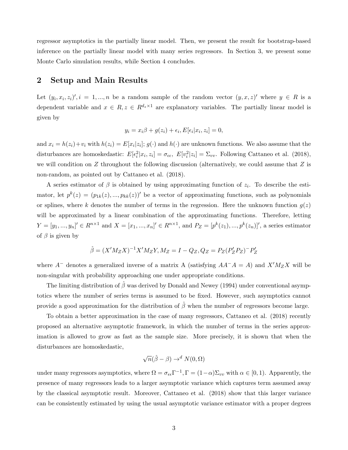regressor asymptotics in the partially linear model. Then, we present the result for bootstrap-based inference on the partially linear model with many series regressors. In Section 3, we present some Monte Carlo simulation results, while Section 4 concludes.

## 2 Setup and Main Results

Let  $(y_i, x_i, z_i)'$ ,  $i = 1, ..., n$  be a random sample of the random vector  $(y, x, z)'$  where  $y \in R$  is a dependent variable and  $x \in R$ ,  $z \in R^{d_z \times 1}$  are explanatory variables. The partially linear model is given by

$$
y_i = x_i \beta + g(z_i) + \epsilon_i, E[\epsilon_i | x_i, z_i] = 0,
$$

and  $x_i = h(z_i) + v_i$  with  $h(z_i) = E[x_i | z_i]$ ;  $g(\cdot)$  and  $h(\cdot)$  are unknown functions. We also assume that the disturbances are homoskedastic:  $E[\epsilon_i^2]$  $i^2 | x_i, z_i] = \sigma_{\epsilon \epsilon}, \ E[v_i^2]$  $i[z_i] = \Sigma_{vv}$ . Following Cattaneo et al. (2018), we will condition on  $Z$  throughout the following discussion (alternatively, we could assume that  $Z$  is non-random, as pointed out by Cattaneo et al. (2018).

A series estimator of  $\beta$  is obtained by using approximating function of  $z_i$ . To describe the estimator, let  $p^k(z) = (p_{1k}(z), ..., p_{kk}(z))'$  be a vector of approximating functions, such as polynomials or splines, where k denotes the number of terms in the regression. Here the unknown function  $g(z)$ will be approximated by a linear combination of the approximating functions. Therefore, letting  $Y = [y_1, ..., y_n]' \in R^{n \times 1}$  and  $X = [x_1, ..., x_n]' \in R^{n \times 1}$ , and  $P_Z = [p^k(z_1), ..., p^k(z_n)]'$ , a series estimator of  $\beta$  is given by

$$
\hat{\beta} = (X'M_ZX)^{-1}X'M_ZY, M_Z = I - Q_Z, Q_Z = P_Z(P'_ZP_Z)^{-1}P'_Z
$$

where  $A^-$  denotes a generalized inverse of a matrix A (satisfying  $AA^-A = A$ ) and  $X'M_ZX$  will be non-singular with probability approaching one under appropriate conditions.

The limiting distribution of  $\hat{\beta}$  was derived by Donald and Newey (1994) under conventional asymptotics where the number of series terms is assumed to be fixed. However, such asymptotics cannot provide a good approximation for the distribution of  $\hat{\beta}$  when the number of regressors become large.

To obtain a better approximation in the case of many regressors, Cattaneo et al. (2018) recently proposed an alternative asymptotic framework, in which the number of terms in the series approximation is allowed to grow as fast as the sample size. More precisely, it is shown that when the disturbances are homoskedastic,

$$
\sqrt{n}(\hat{\beta}-\beta) \to^d N(0,\Omega)
$$

under many regressors asymptotics, where  $\Omega = \sigma_{\epsilon \epsilon} \Gamma^{-1}$ ,  $\Gamma = (1 - \alpha) \Sigma_{vv}$  with  $\alpha \in [0, 1)$ . Apparently, the presence of many regressors leads to a larger asymptotic variance which captures term assumed away by the classical asymptotic result. Moreover, Cattaneo et al. (2018) show that this larger variance can be consistently estimated by using the usual asymptotic variance estimator with a proper degrees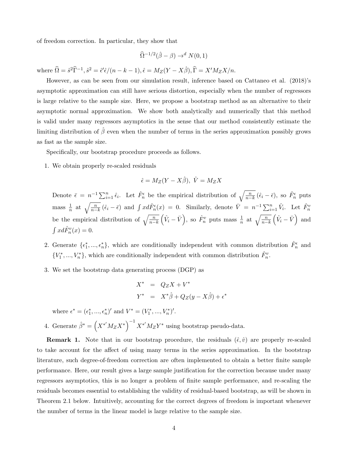of freedom correction. In particular, they show that

$$
\widehat{\Omega}^{-1/2}(\widehat{\beta}-\beta) \to^d N(0,1)
$$

where  $\widehat{\Omega} = \widehat{s}^2 \widehat{\Gamma}^{-1}, \widehat{s}^2 = \widehat{\epsilon}' \widehat{\epsilon}/(n-k-1), \widehat{\epsilon} = M_Z(Y - X\widehat{\beta}), \widehat{\Gamma} = X'M_ZX/n.$ 

However, as can be seen from our simulation result, inference based on Cattaneo et al. (2018)'s asymptotic approximation can still have serious distortion, especially when the number of regressors is large relative to the sample size. Here, we propose a bootstrap method as an alternative to their asymptotic normal approximation. We show both analytically and numerically that this method is valid under many regressors asymptotics in the sense that our method consistently estimate the limiting distribution of  $\hat{\beta}$  even when the number of terms in the series approximation possibly grows as fast as the sample size.

Specifically, our bootstrap procedure proceeds as follows.

1. We obtain properly re-scaled residuals

$$
\hat{\epsilon} = M_Z(Y - X\hat{\beta}), \ \hat{V} = M_Z X
$$

Denote  $\bar{\epsilon} = n^{-1} \sum_{i=1}^n \hat{\epsilon}_i$ . Let  $\hat{F}_n^{\epsilon}$  be the empirical distribution of  $\sqrt{\frac{n}{n-k}} (\hat{\epsilon}_i - \bar{\epsilon})$ , so  $\hat{F}_n^{\epsilon}$  puts mass  $\frac{1}{n}$  at  $\sqrt{\frac{n}{n-k}} (\hat{\epsilon}_i - \bar{\epsilon})$  and  $\int x d\hat{F}_n^{\epsilon}(x) = 0$ . Similarly, denote  $\bar{V} = n^{-1} \sum_{i=1}^n \hat{V}_i$ . Let  $\hat{F}_n^v$ be the empirical distribution of  $\sqrt{\frac{n}{n-k}}$  $(\hat{V}_i - \bar{V})$ , so  $\hat{F}_n^v$  puts mass  $\frac{1}{n}$  at  $\sqrt{\frac{n}{n-k}}$  $(\hat{V}_i - \bar{V})$  and  $\int x d\hat{F}_n^v(x) = 0.$ 

- 2. Generate  $\{\epsilon_1^*,...,\epsilon_n^*\}$ , which are conditionally independent with common distribution  $\hat{F}_n^{\epsilon}$  and  ${V_1^*, ..., V_n^*}$ , which are conditionally independent with common distribution  $\hat{F}_n^v$ .
- 3. We set the bootstrap data generating process (DGP) as

$$
X^* = Q_Z X + V^*
$$
  

$$
Y^* = X^* \hat{\beta} + Q_Z (y - X \hat{\beta}) + \epsilon^*
$$

where  $\epsilon^* = (\epsilon_1^*, ..., \epsilon_n^*)'$  and  $V^* = (V_1^*, ..., V_n^*)'$ .

4. Generate  $\hat{\beta}^* = \left(X^{*'}M_ZX^*\right)^{-1}X^{*'}M_ZY^*$  using bootstrap pseudo-data.

**Remark 1.** Note that in our bootstrap procedure, the residuals  $(\hat{\epsilon}, \hat{v})$  are properly re-scaled to take account for the affect of using many terms in the series approximation. In the bootstrap literature, such degree-of-freedom correction are often implemented to obtain a better finite sample performance. Here, our result gives a large sample justification for the correction because under many regressors asymptotics, this is no longer a problem of finite sample performance, and re-scaling the residuals becomes essential to establishing the validity of residual-based bootstrap, as will be shown in Theorem 2.1 below. Intuitively, accounting for the correct degrees of freedom is important whenever the number of terms in the linear model is large relative to the sample size.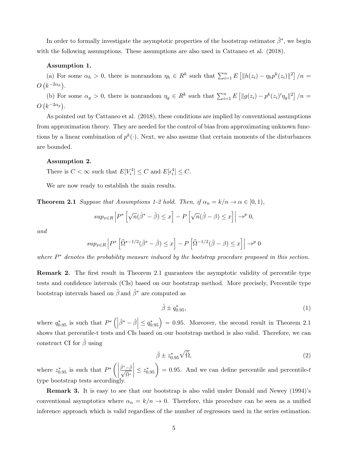In order to formally investigate the asymptotic properties of the bootstrap estimator  $\hat{\beta}^*$ , we begin with the following assumptions. These assumptions are also used in Cattaneo et al. (2018).

#### Assumption 1.

(a) For some  $\alpha_h > 0$ , there is nonrandom  $\eta_h \in R^k$  such that  $\sum_{i=1}^n E\left[||h(z_i) - \eta_h p^k(z_i)||^2\right] / n =$  $O(k^{-2\alpha_h}).$ 

(b) For some  $\alpha_g > 0$ , there is nonrandom  $\eta_g \in R^k$  such that  $\sum_{i=1}^n E\left[||g(z_i) - p^k(z_i)'\eta_g||^2\right] / n =$  $O(k^{-2\alpha_g}).$ 

As pointed out by Cattaneo et al. (2018), these conditions are implied by conventional assumptions from approximation theory. They are needed for the control of bias from approximating unknown functions by a linear combination of  $p^k(\cdot)$ . Next, we also assume that certain moments of the disturbances are bounded.

#### Assumption 2.

There is  $C < \infty$  such that  $E[V_i^4]$  $\mathcal{E}^4_i] \leq C$  and  $E[\epsilon_i^4]$  $_{i}^{4}] \leq C.$ 

We are now ready to establish the main results.

**Theorem 2.1** Suppose that Assumptions 1-2 hold. Then, if  $\alpha_n = k/n \rightarrow \alpha \in [0,1)$ ,

$$
sup_{x \in R} \left| P^* \left[ \sqrt{n} (\hat{\beta}^* - \hat{\beta}) \le x \right] - P \left[ \sqrt{n} (\hat{\beta} - \beta) \le x \right] \right| \to^p 0,
$$

and

$$
sup_{x\in R}\left|P^*\left[\widehat{\Omega}^{*-1/2}(\widehat{\beta}^*-\widehat{\beta})\leq x\right]-P\left[\widehat{\Omega}^{-1/2}(\widehat{\beta}-\beta)\leq x\right]\right|\to^p0
$$

where  $P^*$  denotes the probability measure induced by the bootstrap procedure proposed in this section.

Remark 2. The first result in Theorem 2.1 guarantees the asymptotic validity of percentile type tests and confidence intervals (CIs) based on our bootstrap method. More precisely, Percentile type bootstrap intervals based on  $\hat{\beta}$  and  $\hat{\beta}^*$  are computed as

$$
\hat{\beta} \pm q_{0.95}^*,\tag{1}
$$

where  $q_{0.95}^*$  is such that  $P^*$   $\left( \left| \hat{\beta}^* - \hat{\beta} \right| \leq q_{0.95}^* \right) = 0.95$ . Moreover, the second result in Theorem 2.1 shows that percentile-t tests and CIs based on our bootstrap method is also valid. Therefore, we can construct CI for  $\beta$  using

$$
\hat{\beta} \pm z_{0.95}^* \sqrt{\hat{\Omega}},\tag{2}
$$

where  $z_{0.95}^*$  is such that  $P^* \left( \left| \frac{\hat{\beta}^* - \hat{\beta}}{\sqrt{\hat{\Omega}^*}} \right| \right)$  $\vert \leq z_{0.95}^{*}$  = 0.95. And we can define percentile and percentile-t type bootstrap tests accordingly.

Remark 3. It is easy to see that our bootstrap is also valid under Donald and Newey (1994)'s conventional asymptotics where  $\alpha_n = k/n \to 0$ . Therefore, this procedure can be seen as a unified inference approach which is valid regardless of the number of regressors used in the series estimation.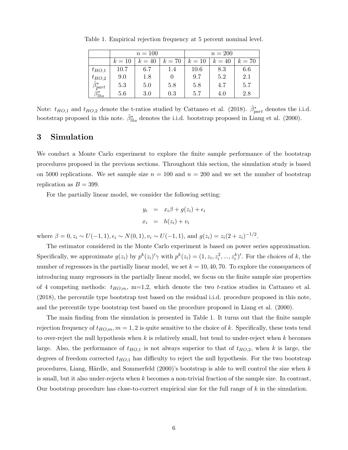|                        | $n = 100$ |        |        | $n = 200$ |        |        |
|------------------------|-----------|--------|--------|-----------|--------|--------|
|                        | $k=10$    | $k=40$ | $k=70$ | $k=10$    | $k=40$ | $k=70$ |
| $t_{HO,1}$             | 10.7      | 6.7    | 1.4    | 10.6      | 8.3    | 6.6    |
| $t_{HO,2}$             | 9.0       | 1.8    | $\cup$ | 9.7       | 5.2    | 2.1    |
| $\hat{\beta}^*_{part}$ | 5.3       | 5.0    | 5.8    | 5.8       | 4.7    | 5.7    |
| $\eta_{hs}$            | 5.6       | 3.0    | 0.3    | 5.7       | 4.0    | 2.8    |

Table 1. Empirical rejection frequency at 5 percent nominal level.

Note:  $t_{HO,1}$  and  $t_{HO,2}$  denote the t-ratios studied by Cattaneo et al. (2018).  $\hat{\beta}^*_{part}$  denotes the i.i.d. bootstrap proposed in this note.  $\hat{\beta}_{ths}^{*}$  denotes the i.i.d. bootstrap proposed in Liang et al. (2000).

## 3 Simulation

We conduct a Monte Carlo experiment to explore the finite sample performance of the bootstrap procedures proposed in the previous sections. Throughout this section, the simulation study is based on 5000 replications. We set sample size  $n = 100$  and  $n = 200$  and we set the number of bootstrap replication as  $B = 399$ .

For the partially linear model, we consider the following setting:

$$
y_i = x_i \beta + g(z_i) + \epsilon_i
$$
  

$$
x_i = h(z_i) + v_i
$$

where  $\beta = 0, z_i \sim U(-1, 1), \epsilon_i \sim N(0, 1), v_i \sim U(-1, 1),$  and  $g(z_i) = z_i(2 + z_i)^{-1/2}$ .

The estimator considered in the Monte Carlo experiment is based on power series approximation. Specifically, we approximate  $g(z_i)$  by  $p^k(z_i)'\gamma$  with  $p^k(z_i) = (1, z_i, z_i^2, ..., z_i^k)'.$  For the choices of k, the number of regressors in the partially linear model, we set  $k = 10, 40, 70$ . To explore the consequences of introducing many regressors in the partially linear model, we focus on the finite sample size properties of 4 competing methods:  $t_{HO,m}$ , m=1,2, which denote the two t-ratios studies in Cattaneo et al. (2018), the percentile type bootstrap test based on the residual i.i.d. procedure proposed in this note, and the percentile type bootstrap test based on the procedure proposed in Liang et al. (2000).

The main finding from the simulation is presented in Table 1. It turns out that the finite sample rejection frequency of  $t_{HO,m}, m = 1, 2$  is quite sensitive to the choice of k. Specifically, these tests tend to over-reject the null hypothesis when k is relatively small, but tend to under-reject when k becomes large. Also, the performance of  $t_{HO,1}$  is not always superior to that of  $t_{HO,2}$ , when k is large, the degrees of freedom corrected  $t_{HO,1}$  has difficulty to reject the null hypothesis. For the two bootstrap procedures, Liang, Härdle, and Sommerfeld  $(2000)$ 's bootstrap is able to well control the size when k is small, but it also under-rejects when k becomes a non-trivial fraction of the sample size. In contrast, Our bootstrap procedure has close-to-correct empirical size for the full range of  $k$  in the simulation.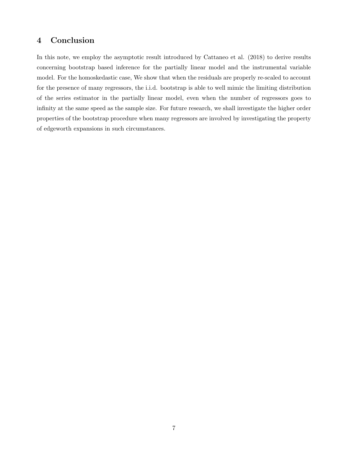# 4 Conclusion

In this note, we employ the asymptotic result introduced by Cattaneo et al. (2018) to derive results concerning bootstrap based inference for the partially linear model and the instrumental variable model. For the homoskedastic case, We show that when the residuals are properly re-scaled to account for the presence of many regressors, the i.i.d. bootstrap is able to well mimic the limiting distribution of the series estimator in the partially linear model, even when the number of regressors goes to infinity at the same speed as the sample size. For future research, we shall investigate the higher order properties of the bootstrap procedure when many regressors are involved by investigating the property of edgeworth expansions in such circumstances.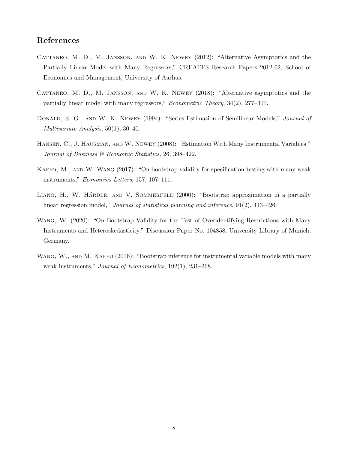## References

- Cattaneo, M. D., M. Jansson, and W. K. Newey (2012): "Alternative Asymptotics and the Partially Linear Model with Many Regressors," CREATES Research Papers 2012-02, School of Economics and Management, University of Aarhus.
- CATTANEO, M. D., M. JANSSON, AND W. K. NEWEY (2018): "Alternative asymptotics and the partially linear model with many regressors," Econometric Theory, 34(2), 277–301.
- DONALD, S. G., AND W. K. NEWEY (1994): "Series Estimation of Semilinear Models," Journal of Multivariate Analysis, 50(1), 30–40.
- Hansen, C., J. Hausman, and W. Newey (2008): "Estimation With Many Instrumental Variables," Journal of Business & Economic Statistics, 26, 398–422.
- KAFFO, M., AND W. WANG (2017): "On bootstrap validity for specification testing with many weak instruments," Economics Letters, 157, 107–111.
- LIANG, H., W. HÄRDLE, AND V. SOMMERFELD (2000): "Bootstrap approximation in a partially linear regression model," Journal of statistical planning and inference, 91(2), 413–426.
- Wang, W. (2020): "On Bootstrap Validity for the Test of Overidentifying Restrictions with Many Instruments and Heteroskedasticity," Discussion Paper No. 104858, University Library of Munich, Germany.
- WANG, W., AND M. KAFFO (2016): "Bootstrap inference for instrumental variable models with many weak instruments," *Journal of Econometrics*, 192(1), 231–268.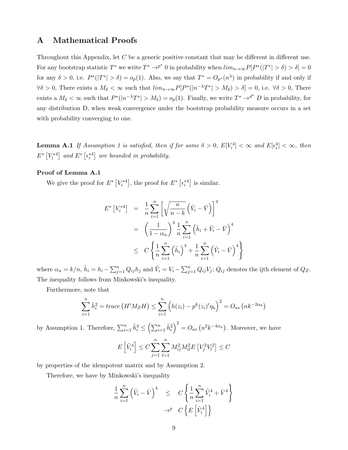## A Mathematical Proofs

Throughout this Appendix, let C be a generic positive constant that may be different in different use. For any bootstrap statistic  $T^*$  we write  $T^* \to^{p^*} 0$  in probability when  $\lim_{n \to \infty} P[P^*(|T^*| > \delta) > \delta] = 0$ for any  $\delta > 0$ , i.e.  $P^*(|T^*| > \delta) = o_p(1)$ . Also, we say that  $T^* = O_{p^*}(n^{\lambda})$  in probability if and only if  $\forall \delta > 0$ , There exists a  $M_{\delta} < \infty$  such that  $\lim_{n \to \infty} P[P^*(|n^{-\lambda}T^*| > M_{\delta}) > \delta] = 0$ , i.e.  $\forall \delta > 0$ , There exists a  $M_{\delta} < \infty$  such that  $P^*(|n^{-\lambda}T^*| > M_{\delta}) = o_p(1)$ . Finally, we write  $T^* \to^{d^*} D$  in probability, for any distribution D, when weak convergence under the bootstrap probability measure occurs in a set with probability converging to one.

**Lemma A.1** If Assumption 1 is satisfied, then if for some  $\delta > 0$ ,  $E[V_i^4]$  $\mathcal{E}_{i}^4] < \infty$  and  $E[\epsilon_i^4]$  $_{i}^{4}] < \infty$ , then  $E^*$   $[V_i^{*4}]$  and  $E^*$   $[\epsilon_i^{*4}]$  are bounded in probability.

#### Proof of Lemma A.1

We give the proof for  $E^*$   $[V_i^{*4}]$ , the proof for  $E^*$   $[\epsilon_i^{*4}]$  is similar.

$$
E^* [V_i^{*4}] = \frac{1}{n} \sum_{i=1}^n \left[ \sqrt{\frac{n}{n-k}} \left( \hat{V}_i - \bar{V} \right) \right]^4
$$
  

$$
= \left( \frac{1}{1 - \alpha_n} \right)^4 \frac{1}{n} \sum_{i=1}^n \left( \tilde{h}_i + \tilde{V}_i - \bar{V} \right)^4
$$
  

$$
\leq C \left\{ \frac{1}{n} \sum_{i=1}^n \left( \tilde{h}_i \right)^4 + \frac{1}{n} \sum_{i=1}^n \left( \tilde{V}_i - \bar{V} \right)^4 \right\}
$$

where  $\alpha_n = k/n$ ,  $\tilde{h}_i = h_i - \sum_{j=1}^n Q_{ij} h_j$  and  $\tilde{V}_i = V_i - \sum_{j=1}^n Q_{ij} V_j$ ;  $Q_{ij}$  denotes the ijth element of  $Q_Z$ . The inequality follows from Minkowski's inequality.

Furthermore, note that

$$
\sum_{i=1}^{n} \tilde{h}_{i}^{2} = trace\left(H'M_{Z}H\right) \le \sum_{i=1}^{n} \left(h(z_{i}) - p^{k}(z_{i})'\eta_{h}\right)^{2} = O_{as}\left(nk^{-2\alpha_{h}}\right)
$$

by Assumption 1. Therefore,  $\sum_{i=1}^{n} \tilde{h}_i^4 \leq \left(\sum_{i=1}^{n} \tilde{h}_i^2\right)$  $\int_{0}^{2} = O_{as} (n^2 k^{-4\alpha_h})$ . Moreover, we have

$$
E\left[\tilde{V}_i^4\right] \le C \sum_{j=1}^n \sum_{l=1}^n M_{ij}^2 M_{il}^2 E\left[V_j^2 V_l^2\right] \le C
$$

by properties of the idempotent matrix and by Assumption 2.

Therefore, we have by Minkowski's inequality

$$
\frac{1}{n} \sum_{i=1}^{n} (\tilde{V}_i - \bar{V})^4 \leq C \left\{ \frac{1}{n} \sum_{i=1}^{n} \tilde{V}_i^4 + \bar{V}^4 \right\} \n\rightarrow^p C \left\{ E \left[ \tilde{V}_i^4 \right] \right\}
$$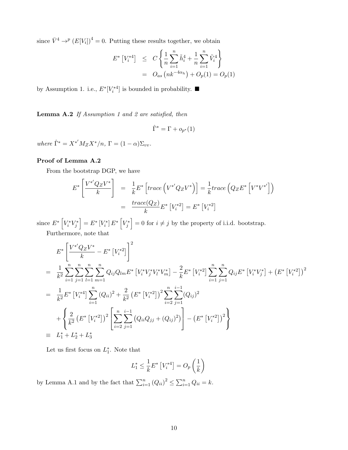since  $\bar{V}^4 \rightarrow^p (E[V_i])^4 = 0$ . Putting these results together, we obtain

$$
E^* [V_i^{*4}] \leq C \left\{ \frac{1}{n} \sum_{i=1}^n \tilde{h}_i^4 + \frac{1}{n} \sum_{i=1}^n \tilde{V}_i^4 \right\}
$$
  
=  $O_{as} (nk^{-4\alpha_h}) + O_p(1) = O_p(1)$ 

by Assumption 1. i.e.,  $E^*[V_i^{*4}]$  is bounded in probability.  $\blacksquare$ 

Lemma A.2 If Assumption 1 and 2 are satisfied, then

$$
\hat{\Gamma}^* = \Gamma + o_{p^*}(1)
$$

where  $\hat{\Gamma}^* = X^{*'} M_Z X^* / n$ ,  $\Gamma = (1 - \alpha) \Sigma_{vv}$ .

### Proof of Lemma A.2

From the bootstrap DGP, we have

$$
E^* \left[ \frac{V^{*'}Q_Z V^*}{k} \right] = \frac{1}{k} E^* \left[ trace \left( V^{*'}Q_Z V^* \right) \right] = \frac{1}{k} trace \left( Q_Z E^* \left[ V^{*} V^{*'} \right] \right)
$$
  

$$
= \frac{trace(Q_Z)}{k} E^* \left[ V^{*2}_i \right] = E^* \left[ V^{*2}_i \right]
$$

since  $E^*$   $\left[V_i^*V_j^*\right]$  $\Big] = E^* \left[ V_i^* \right] E^* \left[ V_j^* \right]$  $\big] = 0$  for  $i \neq j$  by the property of i.i.d. bootstrap.

Furthermore, note that

$$
E^* \left[ \frac{V^*^{'}Q_Z V^*}{k} - E^* [V_i^{*2}] \right]^2
$$
  
\n
$$
= \frac{1}{k^2} \sum_{i=1}^n \sum_{j=1}^n \sum_{l=1}^n \sum_{m=1}^n Q_{ij} Q_{lm} E^* [V_i^* V_j^* V_l^* V_m^*] - \frac{2}{k} E^* [V_i^{*2}] \sum_{i=1}^n \sum_{j=1}^n Q_{ij} E^* [V_i^* V_j^*] + (E^* [V_i^{*2}])^2
$$
  
\n
$$
= \frac{1}{k^2} E^* [V_i^{*4}] \sum_{i=1}^n (Q_{ii})^2 + \frac{2}{k^2} (E^* [V_i^{*2}])^2 \sum_{i=2}^n \sum_{j=1}^{i-1} (Q_{ij})^2
$$
  
\n
$$
+ \left\{ \frac{2}{k^2} (E^* [V_i^{*2}])^2 \left[ \sum_{i=2}^n \sum_{j=1}^{i-1} (Q_{ii} Q_{jj} + (Q_{ij})^2) \right] - (E^* [V_i^{*2}])^2 \right\}
$$
  
\n
$$
= L_1^* + L_2^* + L_3^*
$$

Let us first focus on  $L_1^*$ . Note that

$$
L_1^* \le \frac{1}{k} E^* \left[ V_i^{*4} \right] = O_p \left( \frac{1}{k} \right)
$$

by Lemma A.1 and by the fact that  $\sum_{i=1}^{n} (Q_{ii})^2 \leq \sum_{i=1}^{n} Q_{ii} = k$ .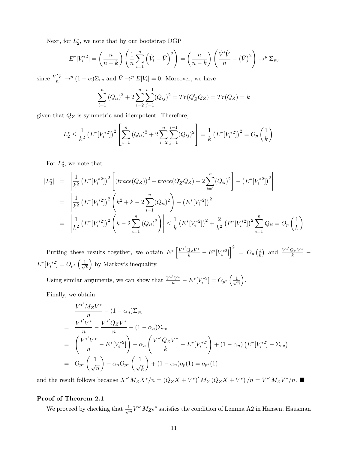Next, for  $L_2^*$ , we note that by our bootstrap DGP

$$
E^*[V_i^{*2}] = \left(\frac{n}{n-k}\right) \left(\frac{1}{n}\sum_{i=1}^n \left(\hat{V}_i - \bar{V}\right)^2\right) = \left(\frac{n}{n-k}\right) \left(\frac{\hat{V}'\hat{V}}{n} - \left(\bar{V}\right)^2\right) \to^p \Sigma_{vv}
$$

since  $\frac{\hat{V}'\hat{V}}{n} \to^p (1-\alpha) \Sigma_{vv}$  and  $\bar{V} \to^p E[V_i] = 0$ . Moreover, we have

$$
\sum_{i=1}^{n} (Q_{ii})^2 + 2 \sum_{i=2}^{n} \sum_{j=1}^{i-1} (Q_{ij})^2 = Tr(Q'_Z Q_Z) = Tr(Q_Z) = k
$$

given that  $\mathbb{Q}_Z$  is symmetric and idempotent. Therefore,

$$
L_2^* \le \frac{1}{k^2} \left( E^* [V_i^*^2] \right)^2 \left[ \sum_{i=1}^n (Q_{ii})^2 + 2 \sum_{i=2}^n \sum_{j=1}^{i-1} (Q_{ij})^2 \right] = \frac{1}{k} \left( E^* [V_i^*^2] \right)^2 = O_p \left( \frac{1}{k} \right)
$$

For  $L_3^*$ , we note that

$$
|L_3^*| = \left| \frac{1}{k^2} \left( E^* [V_i^{*2}] \right)^2 \left[ \left( \operatorname{trace}(Q_Z) \right)^2 + \operatorname{trace}(Q_Z' Q_Z) - 2 \sum_{i=1}^n (Q_{ii})^2 \right] - \left( E^* [V_i^{*2}] \right)^2 \right|
$$
  
\n
$$
= \left| \frac{1}{k^2} \left( E^* [V_i^{*2}] \right)^2 \left( k^2 + k - 2 \sum_{i=1}^n (Q_{ii})^2 \right) - \left( E^* [V_i^{*2}] \right)^2 \right|
$$
  
\n
$$
= \left| \frac{1}{k^2} \left( E^* [V_i^{*2}] \right)^2 \left( k - 2 \sum_{i=1}^n (Q_{ii})^2 \right) \right| \le \frac{1}{k} \left( E^* [V_i^{*2}] \right)^2 + \frac{2}{k^2} \left( E^* [V_i^{*2}] \right)^2 \sum_{i=1}^n Q_{ii} = O_p \left( \frac{1}{k} \right)
$$

Putting these results together, we obtain  $E^* \left[ \frac{V^{*'}Q_Z V^*}{k} - E^* [V_i^{*2}] \right]^2 = O_p \left( \frac{1}{k} \right)$  $\frac{1}{k}$  and  $\frac{V^*^{'}Q_Z V^*}{k}$  $\frac{b}{k}$  –  $E^*[V_i^{*2}] = O_{p^*}\left(\frac{1}{\sqrt{2}}\right)$ k by Markov's inequality.

Using similar arguments, we can show that  $\frac{V^{*'}V^{*}}{n} - E^{*}[V_i^{*2}] = O_{p^*}\left(\frac{1}{\sqrt{n}}\right)$ n .

Finally, we obtain

$$
\frac{V^* M_Z V^*}{n} - (1 - \alpha_n) \Sigma_{vv}
$$
\n
$$
= \frac{V^* V^*}{n} - \frac{V^* Q_Z V^*}{n} - (1 - \alpha_n) \Sigma_{vv}
$$
\n
$$
= \left(\frac{V^* V^*}{n} - E^* [V_i^{*2}] \right) - \alpha_n \left(\frac{V^* Q_Z V^*}{k} - E^* [V_i^{*2}] \right) + (1 - \alpha_n) \left(E^* [V_i^{*2}] - \Sigma_{vv}\right)
$$
\n
$$
= O_{p^*} \left(\frac{1}{\sqrt{n}}\right) - \alpha_n O_{p^*} \left(\frac{1}{\sqrt{k}}\right) + (1 - \alpha_n) o_p(1) = o_{p^*}(1)
$$

and the result follows because  $X^{*'}M_ZX^*/n = (Q_ZX + V^*)'M_Z(Q_ZX + V^*)/n = V^{*'}M_ZV^*/n$ .

#### Proof of Theorem 2.1

We proceed by checking that  $\frac{1}{\sqrt{2}}$  $\frac{1}{n}V^{*'}M_{Z}\epsilon^{*}$  satisfies the condition of Lemma A2 in Hansen, Hausman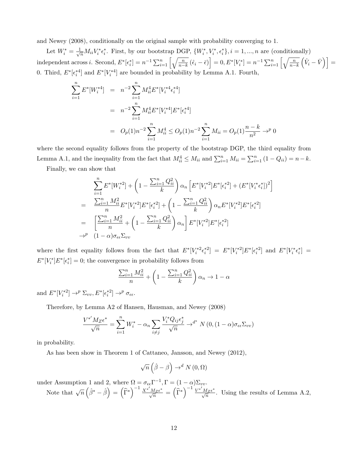and Newey (2008), conditionally on the original sample with probability converging to 1.

Let  $W_i^* = \frac{1}{\sqrt{n}} M_{ii} V_i^* \epsilon_i^*$ . First, by our bootstrap DGP,  $\{W_i^*, V_i^*, \epsilon_i^*\}$ ,  $i = 1, ..., n$  are (conditionally) independent across *i*. Second,  $E^*[\epsilon_i^*]=n^{-1}\sum_{i=1}^n\left[\sqrt{\frac{n}{n-k}}(\hat{\epsilon}_i-\bar{\epsilon})\right]=0, E^*[V_i^*]=n^{-1}\sum_{i=1}^n\left[\sqrt{\frac{n}{n-k}}(\hat{\epsilon}_i-\bar{\epsilon})\right]$  $\left(\hat{V}_i - \bar{V}\right)$  = 0. Third,  $E^*[\epsilon_i^{*4}]$  and  $E^*[V_i^{*4}]$  are bounded in probability by Lemma A.1. Fourth,

$$
\sum_{i=1}^{n} E^*[W_i^{*4}] = n^{-2} \sum_{i=1}^{n} M_{ii}^4 E^*[V_i^{*4} \epsilon_i^{*4}]
$$
  
=  $n^{-2} \sum_{i=1}^{n} M_{ii}^4 E^*[V_i^{*4}] E^*[\epsilon_i^{*4}]$   
=  $O_p(1)n^{-2} \sum_{i=1}^{n} M_{ii}^4 \le O_p(1)n^{-2} \sum_{i=1}^{n} M_{ii} = O_p(1) \frac{n-k}{n^2} \rightarrow^p 0$ 

where the second equality follows from the property of the bootstrap DGP, the third equality from Lemma A.1, and the inequality from the fact that  $M_{ii}^4 \leq M_{ii}$  and  $\sum_{i=1}^n M_{ii} = \sum_{i=1}^n (1 - Q_{ii}) = n - k$ .

Finally, we can show that

$$
\sum_{i=1}^{n} E^*[W_i^{*2}] + \left(1 - \frac{\sum_{i=1}^{n} Q_{ii}^2}{k}\right) \alpha_n \left[E^*[V_i^{*2}]E^*[{\epsilon_i^*}^2] + (E^*[V_i^{*}{\epsilon_i^*}])^2\right]
$$
\n
$$
= \frac{\sum_{i=1}^{n} M_{ii}^2}{n} E^*[V_i^{*2}]E^*[{\epsilon_i^*}^2] + \left(1 - \frac{\sum_{i=1}^{n} Q_{ii}^2}{k}\right) \alpha_n E^*[V_i^{*2}]E^*[{\epsilon_i^*}^2]
$$
\n
$$
= \left[\frac{\sum_{i=1}^{n} M_{ii}^2}{n} + \left(1 - \frac{\sum_{i=1}^{n} Q_{ii}^2}{k}\right) \alpha_n\right] E^*[V_i^{*2}]E^*[{\epsilon_i^*}^2]
$$
\n
$$
\rightarrow^p (1 - \alpha) \sigma_{\epsilon \epsilon} \Sigma_{vv}
$$

where the first equality follows from the fact that  $E^*[V_i^{*2} \epsilon_i^{*2}] = E^*[V_i^{*2}] E^*[\epsilon_i^{*2}]$  and  $E^*[V_i^{*} \epsilon_i^{*}] =$  $E^*[V_i^*]E^*[\epsilon_i^*]=0$ ; the convergence in probability follows from

$$
\frac{\sum_{i=1}^{n} M_{ii}^2}{n} + \left(1 - \frac{\sum_{i=1}^{n} Q_{ii}^2}{k}\right) \alpha_n \to 1 - \alpha
$$

and  $E^*[V_i^{*2}] \to^p \Sigma_{vv}, E^*[\epsilon_i^{*2}] \to^p \sigma_{\epsilon\epsilon}$ .

Therefore, by Lemma A2 of Hansen, Hausman, and Newey (2008)

$$
\frac{V^{*'}M_Z\epsilon^*}{\sqrt{n}} = \sum_{i=1}^n W_i^* - \alpha_n \sum_{i \neq j} \frac{V_i^*Q_{ij}\epsilon_j^*}{\sqrt{n}} \to^{d^*} N(0, (1-\alpha)\sigma_{\epsilon\epsilon} \Sigma_{vv})
$$

in probability.

As has been show in Theorem 1 of Cattaneo, Jansson, and Newey (2012),

$$
\sqrt{n}\left(\hat{\beta}-\beta\right)\rightarrow^d N(0,\Omega)
$$

under Assumption 1 and 2, where  $\Omega = \sigma_{\epsilon\epsilon} \Gamma^{-1}$ ,  $\Gamma = (1 - \alpha) \Sigma_{vv}$ .

Note that  $\sqrt{n} \left( \hat{\beta}^* - \hat{\beta} \right) = \left( \widehat{\Gamma}^* \right)$  $\int$ <sup>-1</sup>  $\frac{X^{*'}M_Z\epsilon^*}{\epsilon}$  $\frac{M_Z \epsilon^*}{\sqrt{n}} = \left(\widehat{\Gamma}^*\right)$  $\int$ <sup>-1</sup>  $\frac{V^* M_Z \epsilon^*}{V^* M_Z \epsilon^*}$  $\frac{M_Z \epsilon}{\sqrt{n}}$ . Using the results of Lemma A.2,